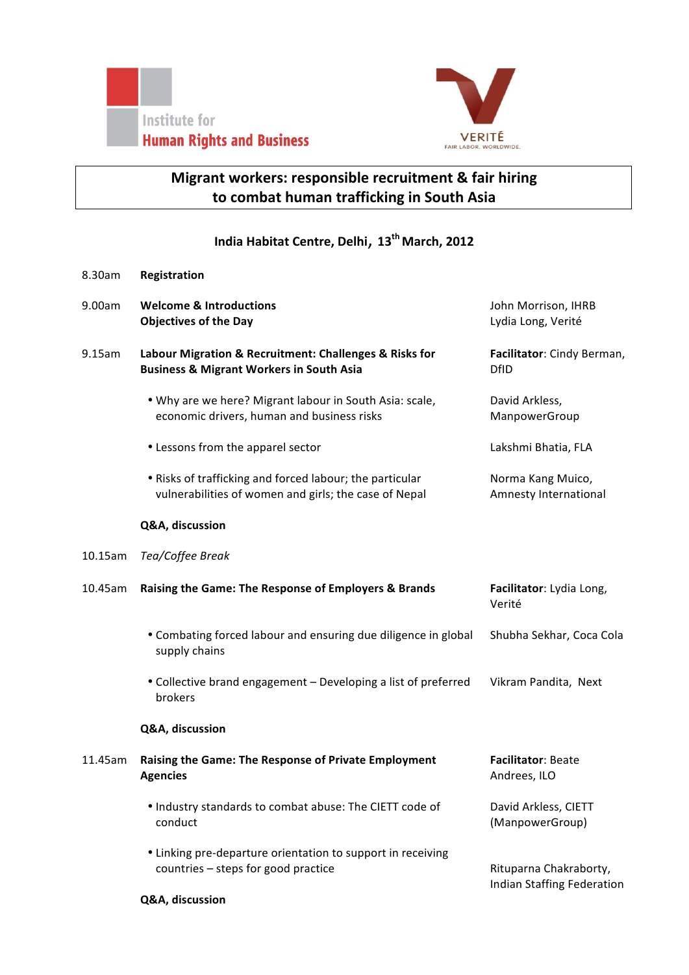



## **Migrant workers: responsible recruitment & fair hiring** to combat human trafficking in South Asia

## **India Habitat Centre, Delhi**, **13th March, 2012**

| 8.30am     | Registration                                                                                                      |                                                      |
|------------|-------------------------------------------------------------------------------------------------------------------|------------------------------------------------------|
| 9.00am     | <b>Welcome &amp; Introductions</b><br><b>Objectives of the Day</b>                                                | John Morrison, IHRB<br>Lydia Long, Verité            |
| 9.15am     | Labour Migration & Recruitment: Challenges & Risks for<br><b>Business &amp; Migrant Workers in South Asia</b>     | Facilitator: Cindy Berman,<br><b>DfID</b>            |
|            | . Why are we here? Migrant labour in South Asia: scale,<br>economic drivers, human and business risks             | David Arkless,<br>ManpowerGroup                      |
|            | • Lessons from the apparel sector                                                                                 | Lakshmi Bhatia, FLA                                  |
|            | . Risks of trafficking and forced labour; the particular<br>vulnerabilities of women and girls; the case of Nepal | Norma Kang Muico,<br>Amnesty International           |
|            | Q&A, discussion                                                                                                   |                                                      |
| $10.15$ am | Tea/Coffee Break                                                                                                  |                                                      |
| 10.45am    | Raising the Game: The Response of Employers & Brands                                                              | Facilitator: Lydia Long,<br>Verité                   |
|            | • Combating forced labour and ensuring due diligence in global<br>supply chains                                   | Shubha Sekhar, Coca Cola                             |
|            | • Collective brand engagement - Developing a list of preferred<br>brokers                                         | Vikram Pandita, Next                                 |
|            | Q&A, discussion                                                                                                   |                                                      |
| 11.45am    | Raising the Game: The Response of Private Employment<br><b>Agencies</b>                                           | Facilitator: Beate<br>Andrees, ILO                   |
|            | . Industry standards to combat abuse: The CIETT code of<br>conduct                                                | David Arkless, CIETT<br>(ManpowerGroup)              |
|            | • Linking pre-departure orientation to support in receiving<br>countries - steps for good practice                | Rituparna Chakraborty,<br>Indian Staffing Federation |